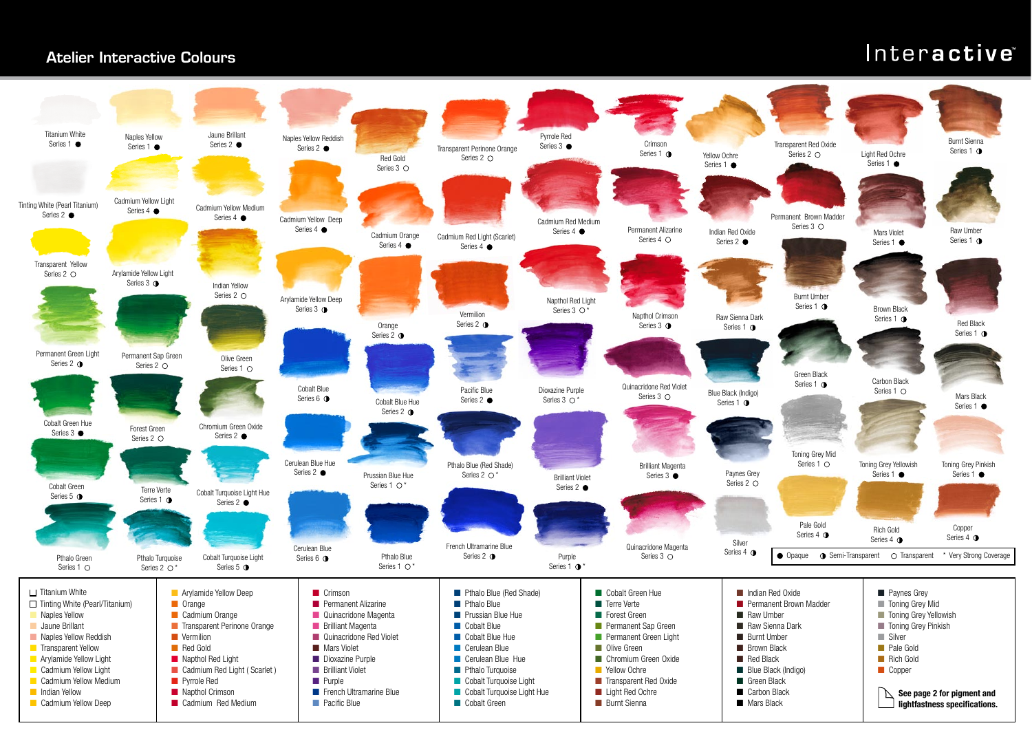## Atelier Interactive Colours

## Interactive